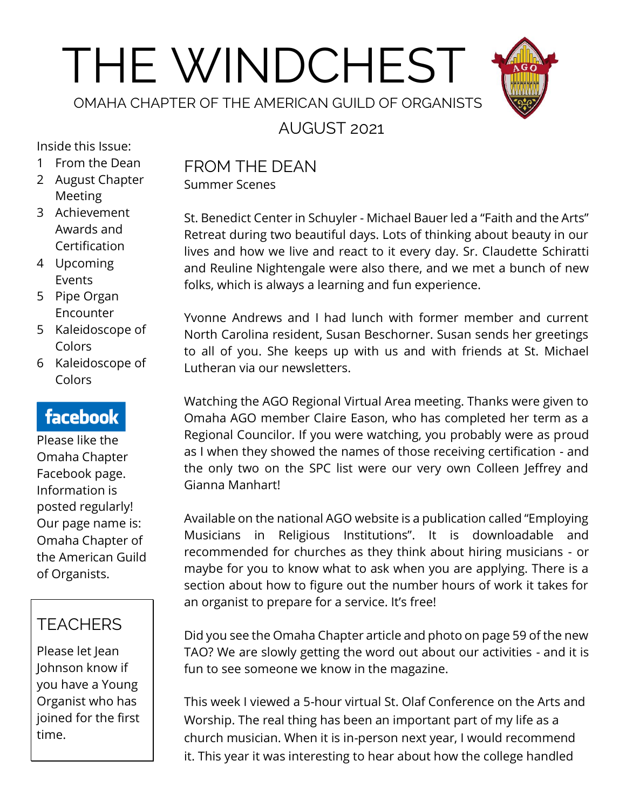# THE WINDCHEST



## AUGUST 2021

Inside this Issue:

- 1 From the Dean
- 2 August Chapter Meeting
- 3 Achievement Awards and Certification
- 4 Upcoming Events
- 5 Pipe Organ Encounter
- 5 Kaleidoscope of Colors
- 6 Kaleidoscope of Colors

#### **facebook**

Please like the Omaha Chapter Facebook page. Information is posted regularly! Our page name is: Omaha Chapter of the American Guild of Organists.

#### **TEACHERS**

Please let Jean Johnson know if you have a Young Organist who has joined for the first time.

## FROM THE DEAN

Summer Scenes

St. Benedict Center in Schuyler - Michael Bauer led a "Faith and the Arts" Retreat during two beautiful days. Lots of thinking about beauty in our lives and how we live and react to it every day. Sr. Claudette Schiratti and Reuline Nightengale were also there, and we met a bunch of new folks, which is always a learning and fun experience.

Yvonne Andrews and I had lunch with former member and current North Carolina resident, Susan Beschorner. Susan sends her greetings to all of you. She keeps up with us and with friends at St. Michael Lutheran via our newsletters.

Watching the AGO Regional Virtual Area meeting. Thanks were given to Omaha AGO member Claire Eason, who has completed her term as a Regional Councilor. If you were watching, you probably were as proud as I when they showed the names of those receiving certification - and the only two on the SPC list were our very own Colleen Jeffrey and Gianna Manhart!

Available on the national AGO website is a publication called "Employing Musicians in Religious Institutions". It is downloadable and recommended for churches as they think about hiring musicians - or maybe for you to know what to ask when you are applying. There is a section about how to figure out the number hours of work it takes for an organist to prepare for a service. It's free!

Did you see the Omaha Chapter article and photo on page 59 of the new TAO? We are slowly getting the word out about our activities - and it is fun to see someone we know in the magazine.

This week I viewed a 5-hour virtual St. Olaf Conference on the Arts and Worship. The real thing has been an important part of my life as a church musician. When it is in-person next year, I would recommend it. This year it was interesting to hear about how the college handled

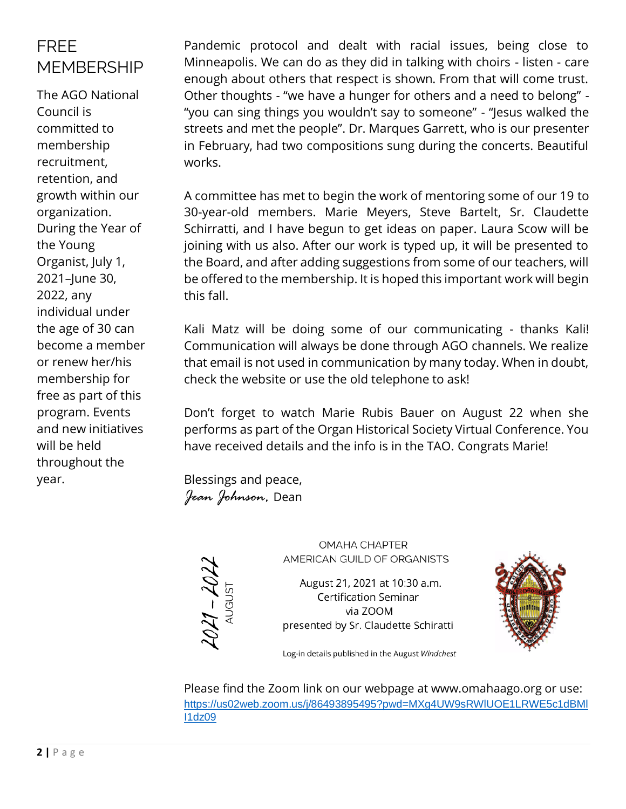#### FREE MEMBERSHIP

The AGO National Council is committed to membership recruitment, retention, and growth within our organization. During the Year of the Young Organist, July 1, 2021–June 30, 2022, any individual under the age of 30 can become a member or renew her/his membership for free as part of this program. Events and new initiatives will be held throughout the year.

Pandemic protocol and dealt with racial issues, being close to Minneapolis. We can do as they did in talking with choirs - listen - care enough about others that respect is shown. From that will come trust. Other thoughts - "we have a hunger for others and a need to belong" - "you can sing things you wouldn't say to someone" - "Jesus walked the streets and met the people". Dr. Marques Garrett, who is our presenter in February, had two compositions sung during the concerts. Beautiful works.

A committee has met to begin the work of mentoring some of our 19 to 30-year-old members. Marie Meyers, Steve Bartelt, Sr. Claudette Schirratti, and I have begun to get ideas on paper. Laura Scow will be joining with us also. After our work is typed up, it will be presented to the Board, and after adding suggestions from some of our teachers, will be offered to the membership. It is hoped this important work will begin this fall.

Kali Matz will be doing some of our communicating - thanks Kali! Communication will always be done through AGO channels. We realize that email is not used in communication by many today. When in doubt, check the website or use the old telephone to ask!

Don't forget to watch Marie Rubis Bauer on August 22 when she performs as part of the Organ Historical Society Virtual Conference. You have received details and the info is in the TAO. Congrats Marie!

Blessings and peace, *Jean Johnson,* Dean



**OMAHA CHAPTER** AMERICAN GUILD OF ORGANISTS

August 21, 2021 at 10:30 a.m. **Certification Seminar** via ZOOM presented by Sr. Claudette Schiratti



Log-in details published in the August Windchest

Please find the Zoom link on our webpage at www.omahaago.org or use: [https://us02web.zoom.us/j/86493895495?pwd=MXg4UW9sRWlUOE1LRWE5c1dBMl](https://us02web.zoom.us/j/86493895495?pwd=MXg4UW9sRWlUOE1LRWE5c1dBMlI1dz09) [I1dz09](https://us02web.zoom.us/j/86493895495?pwd=MXg4UW9sRWlUOE1LRWE5c1dBMlI1dz09)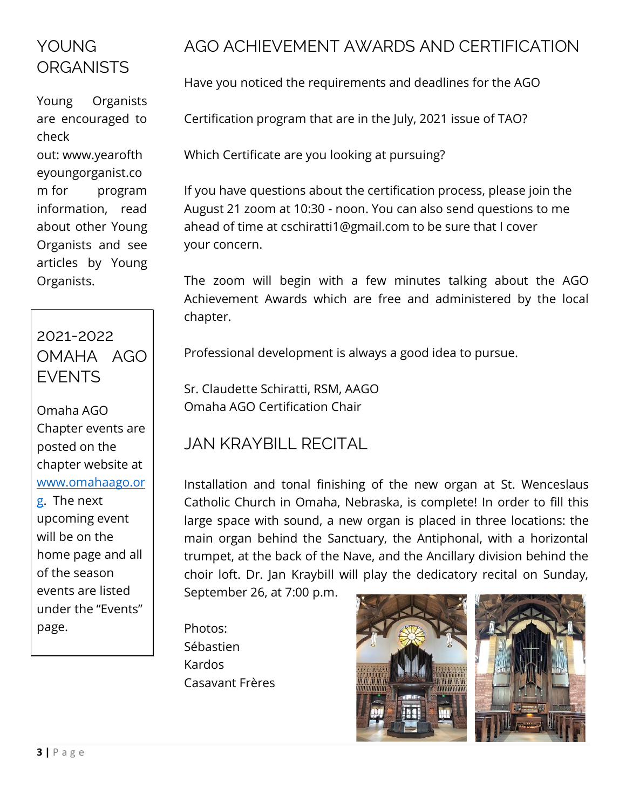#### YOUNG. **ORGANISTS**

Young Organists are encouraged to check out: [www.yearofth](http://www.yearoftheyoungorganist.com/) [eyoungorganist.co](http://www.yearoftheyoungorganist.com/) [m](http://www.yearoftheyoungorganist.com/) for program information, read about other Young Organists and see articles by Young Organists.

## 2021-2022 OMAHA AGO EVENTS

Omaha AGO Chapter events are posted on the chapter website at [www.omahaago.or](http://www.omahaago.org/) [g.](http://www.omahaago.org/) The next upcoming event will be on the home page and all of the season events are listed under the "Events" page.

#### AGO ACHIEVEMENT AWARDS AND CERTIFICATION

Have you noticed the requirements and deadlines for the AGO

Certification program that are in the July, 2021 issue of TAO?

Which Certificate are you looking at pursuing?

If you have questions about the certification process, please join the August 21 zoom at 10:30 - noon. You can also send questions to me ahead of time at cschiratti1@gmail.com to be sure that I cover your concern.

The zoom will begin with a few minutes talking about the AGO Achievement Awards which are free and administered by the local chapter.

Professional development is always a good idea to pursue.

Sr. Claudette Schiratti, RSM, AAGO Omaha AGO Certification Chair

#### JAN KRAYBILL RECITAL

Installation and tonal finishing of the new organ at St. Wenceslaus Catholic Church in Omaha, Nebraska, is complete! In order to fill this large space with sound, a new organ is placed in three locations: the main organ behind the Sanctuary, the Antiphonal, with a horizontal trumpet, at the back of the Nave, and the Ancillary division behind the choir loft. Dr. Jan Kraybill will play the dedicatory recital on Sunday,

September 26, at 7:00 p.m.

Photos: Sébastien Kardos Casavant Frères

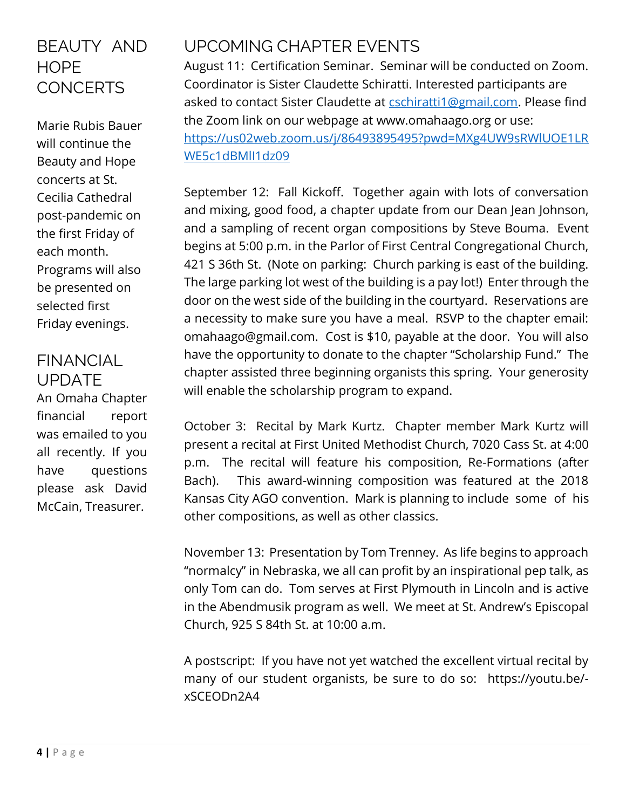#### BEAUTY AND **HOPE CONCERTS**

Marie Rubis Bauer will continue the Beauty and Hope concerts at St. Cecilia Cathedral post-pandemic on the first Friday of each month. Programs will also be presented on selected first Friday evenings.

#### FINANCIAL UPDATE

An Omaha Chapter financial report was emailed to you all recently. If you have questions please ask David McCain, Treasurer.

#### UPCOMING CHAPTER EVENTS

August 11: Certification Seminar. Seminar will be conducted on Zoom. Coordinator is Sister Claudette Schiratti. Interested participants are asked to contact Sister Claudette at [cschiratti1@gmail.com.](mailto:cschiratti1@gmail.com) Please find the Zoom link on our webpage at www.omahaago.org or use: [https://us02web.zoom.us/j/86493895495?pwd=MXg4UW9sRWlUOE1LR](https://us02web.zoom.us/j/86493895495?pwd=MXg4UW9sRWlUOE1LRWE5c1dBMlI1dz09) [WE5c1dBMlI1dz09](https://us02web.zoom.us/j/86493895495?pwd=MXg4UW9sRWlUOE1LRWE5c1dBMlI1dz09)

September 12: Fall Kickoff. Together again with lots of conversation and mixing, good food, a chapter update from our Dean Jean Johnson, and a sampling of recent organ compositions by Steve Bouma. Event begins at 5:00 p.m. in the Parlor of First Central Congregational Church, 421 S 36th St. (Note on parking: Church parking is east of the building. The large parking lot west of the building is a pay lot!) Enter through the door on the west side of the building in the courtyard. Reservations are a necessity to make sure you have a meal. RSVP to the chapter email: omahaago@gmail.com. Cost is \$10, payable at the door. You will also have the opportunity to donate to the chapter "Scholarship Fund." The chapter assisted three beginning organists this spring. Your generosity will enable the scholarship program to expand.

October 3: Recital by Mark Kurtz. Chapter member Mark Kurtz will present a recital at First United Methodist Church, 7020 Cass St. at 4:00 p.m. The recital will feature his composition, Re-Formations (after Bach). This award-winning composition was featured at the 2018 Kansas City AGO convention. Mark is planning to include some of his other compositions, as well as other classics.

November 13: Presentation by Tom Trenney. As life begins to approach "normalcy" in Nebraska, we all can profit by an inspirational pep talk, as only Tom can do. Tom serves at First Plymouth in Lincoln and is active in the Abendmusik program as well. We meet at St. Andrew's Episcopal Church, 925 S 84th St. at 10:00 a.m.

A postscript: If you have not yet watched the excellent virtual recital by many of our student organists, be sure to do so: https://youtu.be/ xSCEODn2A4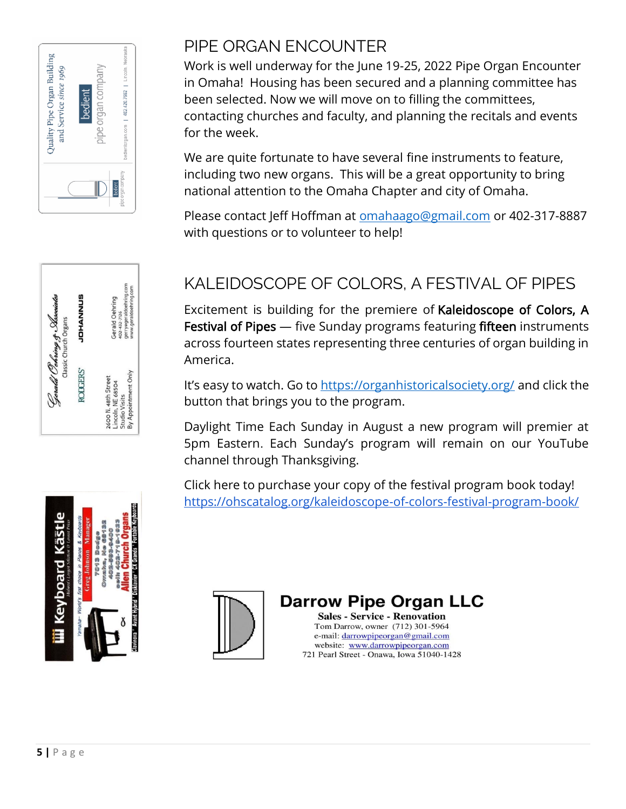



#### PIPE ORGAN ENCOUNTER

Work is well underway for the June 19-25, 2022 Pipe Organ Encounter in Omaha! Housing has been secured and a planning committee has been selected. Now we will move on to filling the committees, contacting churches and faculty, and planning the recitals and events for the week.

We are quite fortunate to have several fine instruments to feature, including two new organs. This will be a great opportunity to bring national attention to the Omaha Chapter and city of Omaha.

Please contact Jeff Hoffman at [omahaago@gmail.com](mailto:omahaago@gmail.com) or 402-317-8887 with questions or to volunteer to help!

#### KALEIDOSCOPE OF COLORS, A FESTIVAL OF PIPES

Excitement is building for the premiere of Kaleidoscope of Colors, A Festival of Pipes — five Sunday programs featuring fifteen instruments across fourteen states representing three centuries of organ building in America.

It's easy to watch. Go to<https://organhistoricalsociety.org/> and click the button that brings you to the program.

Daylight Time Each Sunday in August a new program will premier at 5pm Eastern. Each Sunday's program will remain on our YouTube channel through Thanksgiving.

Click here to purchase your copy of the festival program book today! <https://ohscatalog.org/kaleidoscope-of-colors-festival-program-book/>





#### **Darrow Pipe Organ LLC**

**Sales - Service - Renovation** Tom Darrow, owner (712) 301-5964 e-mail: darrowpipeorgan@gmail.com website: www.darrowpipeorgan.com 721 Pearl Street - Onawa, Iowa 51040-1428